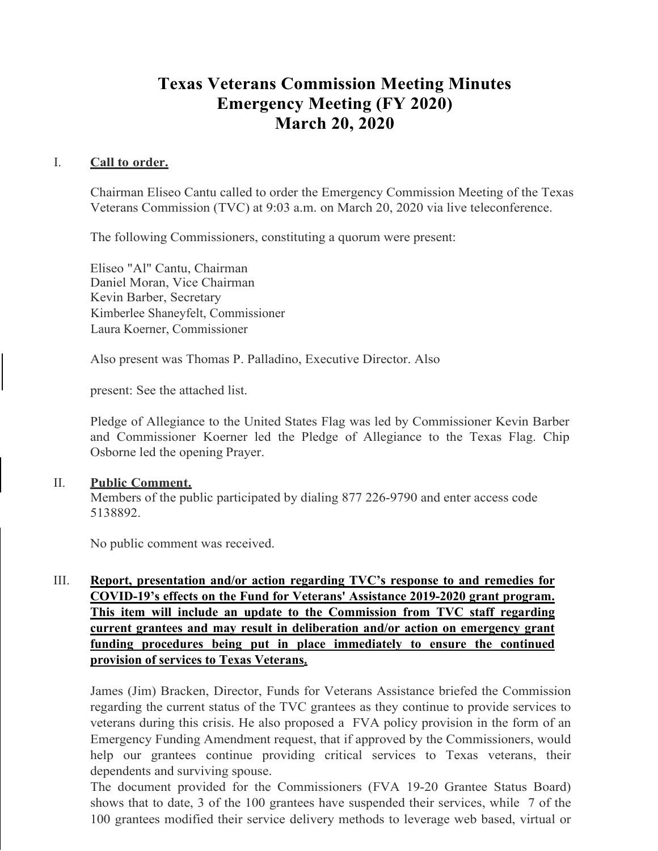# **Texas Veterans Commission Meeting Minutes Emergency Meeting (FY 2020) March 20, 2020**

## I. **Call to order.**

Chairman Eliseo Cantu called to order the Emergency Commission Meeting of the Texas Veterans Commission (TVC) at 9:03 a.m. on March 20, 2020 via live teleconference.

The following Commissioners, constituting a quorum were present:

Eliseo "Al" Cantu, Chairman Daniel Moran, Vice Chairman Kevin Barber, Secretary Kimberlee Shaneyfelt, Commissioner Laura Koerner, Commissioner

Also present was Thomas P. Palladino, Executive Director. Also

present: See the attached list.

Pledge of Allegiance to the United States Flag was led by Commissioner Kevin Barber and Commissioner Koerner led the Pledge of Allegiance to the Texas Flag. Chip Osborne led the opening Prayer.

#### II. **Public Comment.**

Members of the public participated by dialing 877 226-9790 and enter access code 5138892.

No public comment was received.

# III. **Report, presentation and/or action regarding TVC's response to and remedies for COVID-19's effects on the Fund for Veterans' Assistance 2019-2020 grant program. This item will include an update to the Commission from TVC staff regarding current grantees and may result in deliberation and/or action on emergency grant funding procedures being put in place immediately to ensure the continued provision of services to Texas Veterans.**

James (Jim) Bracken, Director, Funds for Veterans Assistance briefed the Commission regarding the current status of the TVC grantees as they continue to provide services to veterans during this crisis. He also proposed a FVA policy provision in the form of an Emergency Funding Amendment request, that if approved by the Commissioners, would help our grantees continue providing critical services to Texas veterans, their dependents and surviving spouse.

The document provided for the Commissioners (FVA 19-20 Grantee Status Board) shows that to date, 3 of the 100 grantees have suspended their services, while 7 of the 100 grantees modified their service delivery methods to leverage web based, virtual or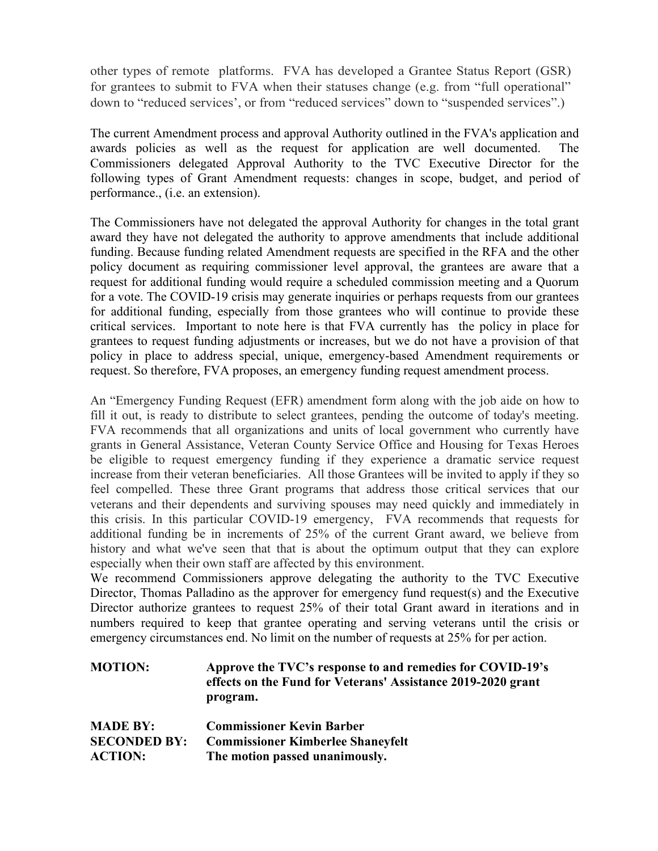other types of remote platforms. FVA has developed a Grantee Status Report (GSR) for grantees to submit to FVA when their statuses change (e.g. from "full operational" down to "reduced services', or from "reduced services" down to "suspended services".)

The current Amendment process and approval Authority outlined in the FVA's application and awards policies as well as the request for application are well documented. The Commissioners delegated Approval Authority to the TVC Executive Director for the following types of Grant Amendment requests: changes in scope, budget, and period of performance., (i.e. an extension).

The Commissioners have not delegated the approval Authority for changes in the total grant award they have not delegated the authority to approve amendments that include additional funding. Because funding related Amendment requests are specified in the RFA and the other policy document as requiring commissioner level approval, the grantees are aware that a request for additional funding would require a scheduled commission meeting and a Quorum for a vote. The COVID-19 crisis may generate inquiries or perhaps requests from our grantees for additional funding, especially from those grantees who will continue to provide these critical services. Important to note here is that FVA currently has the policy in place for grantees to request funding adjustments or increases, but we do not have a provision of that policy in place to address special, unique, emergency-based Amendment requirements or request. So therefore, FVA proposes, an emergency funding request amendment process.

An "Emergency Funding Request (EFR) amendment form along with the job aide on how to fill it out, is ready to distribute to select grantees, pending the outcome of today's meeting. FVA recommends that all organizations and units of local government who currently have grants in General Assistance, Veteran County Service Office and Housing for Texas Heroes be eligible to request emergency funding if they experience a dramatic service request increase from their veteran beneficiaries. All those Grantees will be invited to apply if they so feel compelled. These three Grant programs that address those critical services that our veterans and their dependents and surviving spouses may need quickly and immediately in this crisis. In this particular COVID-19 emergency, FVA recommends that requests for additional funding be in increments of 25% of the current Grant award, we believe from history and what we've seen that that is about the optimum output that they can explore especially when their own staff are affected by this environment.

We recommend Commissioners approve delegating the authority to the TVC Executive Director, Thomas Palladino as the approver for emergency fund request(s) and the Executive Director authorize grantees to request 25% of their total Grant award in iterations and in numbers required to keep that grantee operating and serving veterans until the crisis or emergency circumstances end. No limit on the number of requests at 25% for per action.

| <b>MOTION:</b> | Approve the TVC's response to and remedies for COVID-19's    |
|----------------|--------------------------------------------------------------|
|                | effects on the Fund for Veterans' Assistance 2019-2020 grant |
|                | program.                                                     |

| <b>MADE BY:</b>     | <b>Commissioner Kevin Barber</b>         |
|---------------------|------------------------------------------|
| <b>SECONDED BY:</b> | <b>Commissioner Kimberlee Shaneyfelt</b> |
| <b>ACTION:</b>      | The motion passed unanimously.           |